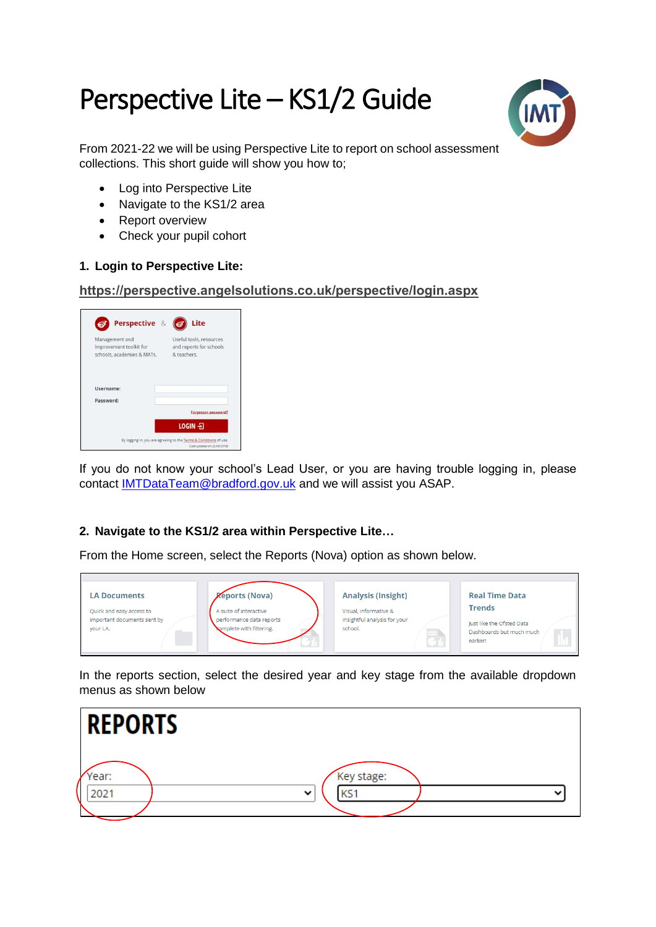# Perspective Lite – KS1/2 Guide



From 2021-22 we will be using Perspective Lite to report on school assessment collections. This short quide will show you how to:

- Log into Perspective Lite
- Navigate to the KS1/2 area
- Report overview
- Check your pupil cohort

### **1. Login to Perspective Lite:**

#### **<https://perspective.angelsolutions.co.uk/perspective/login.aspx>**

| Perspective &                                                           | Lite                                                              |
|-------------------------------------------------------------------------|-------------------------------------------------------------------|
| Management and<br>improvement toolkit for<br>schools, academies & MATs. | Useful tools, resources<br>and reports for schools<br>& teachers. |
| Username:                                                               |                                                                   |
| Password:                                                               |                                                                   |
|                                                                         |                                                                   |
|                                                                         | Forgotten password?                                               |

If you do not know your school's Lead User, or you are having trouble logging in, please contact [IMTDataTeam@bradford.gov.uk](mailto:IMTDataTeam@bradford.gov.uk) and we will assist you ASAP.

## **2. Navigate to the KS1/2 area within Perspective Lite…**

From the Home screen, select the Reports (Nova) option as shown below.



In the reports section, select the desired year and key stage from the available dropdown menus as shown below

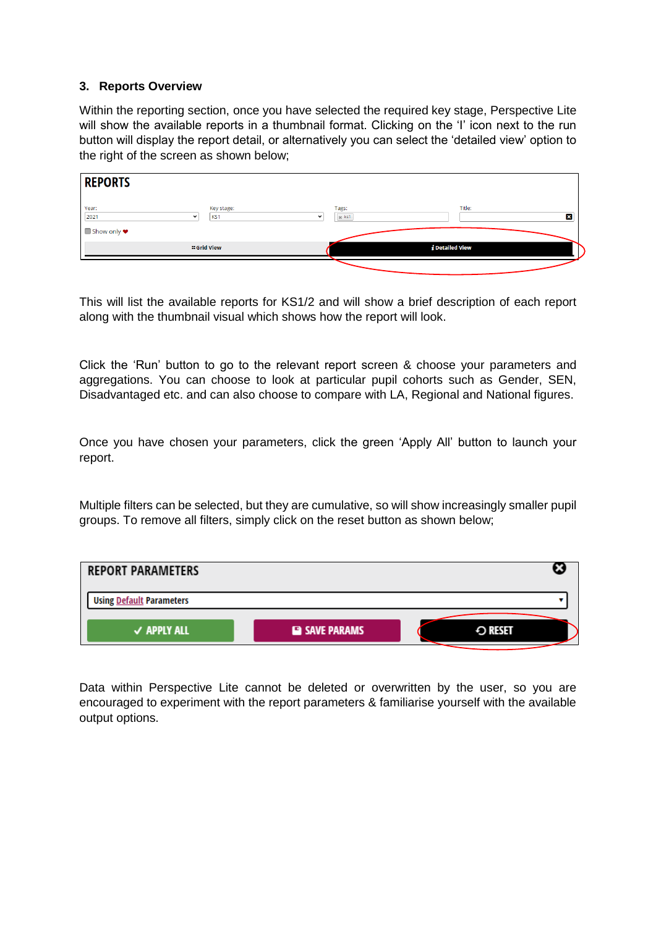#### **3. Reports Overview**

Within the reporting section, once you have selected the required key stage, Perspective Lite will show the available reports in a thumbnail format. Clicking on the 'I' icon next to the run button will display the report detail, or alternatively you can select the 'detailed view' option to the right of the screen as shown below;

| <b>REPORTS</b> |                                  |                                  |                   |   |
|----------------|----------------------------------|----------------------------------|-------------------|---|
| Year:<br>2021  | Key stage:<br>KS1<br>$\check{ }$ | Tags:<br>$*$ ks1<br>$\checkmark$ | Title:            | 図 |
| ■ Show only ♥  | <b>:: Grid View</b>              |                                  | $i$ Detailed View |   |
|                |                                  |                                  |                   |   |

This will list the available reports for KS1/2 and will show a brief description of each report along with the thumbnail visual which shows how the report will look.

Click the 'Run' button to go to the relevant report screen & choose your parameters and aggregations. You can choose to look at particular pupil cohorts such as Gender, SEN, Disadvantaged etc. and can also choose to compare with LA, Regional and National figures.

Once you have chosen your parameters, click the green 'Apply All' button to launch your report.

Multiple filters can be selected, but they are cumulative, so will show increasingly smaller pupil groups. To remove all filters, simply click on the reset button as shown below;



Data within Perspective Lite cannot be deleted or overwritten by the user, so you are encouraged to experiment with the report parameters & familiarise yourself with the available output options.